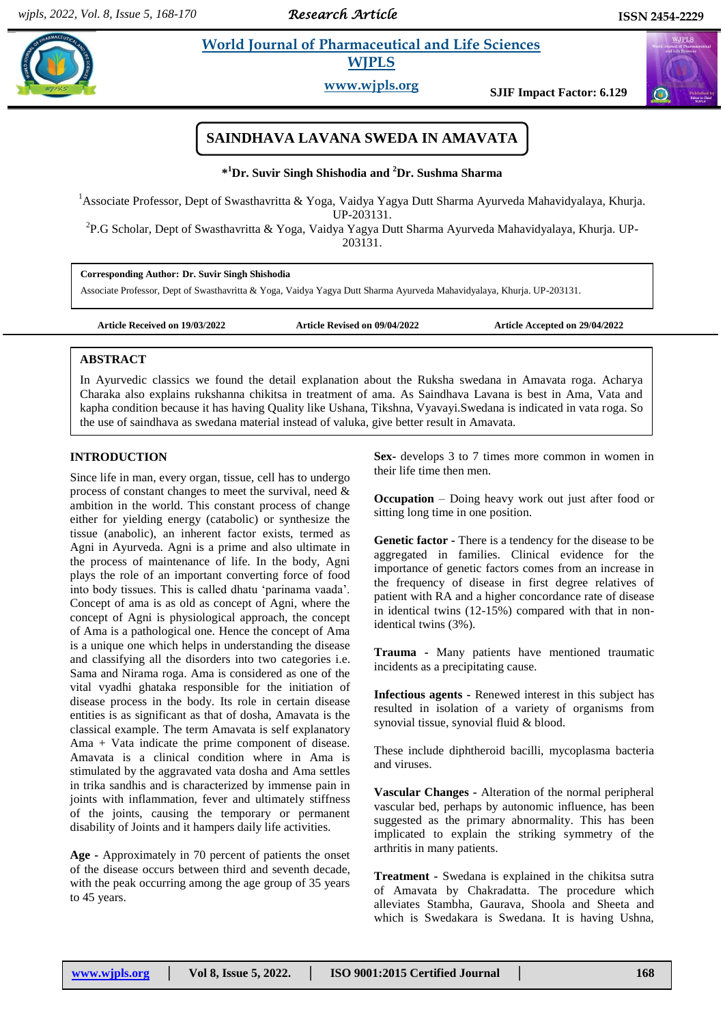*Research Article* 

 $\sigma$ 

# **Example 3 Is a World Journal of Pharmaceutical and Life Sciences WJPLS**

**www.wjpls.org SJIF Impact Factor: 6.129**

# **SAINDHAVA LAVANA SWEDA IN AMAVATA**

### **\* <sup>1</sup>Dr. Suvir Singh Shishodia and <sup>2</sup>Dr. Sushma Sharma**

<sup>1</sup>Associate Professor, Dept of Swasthavritta & Yoga, Vaidya Yagya Dutt Sharma Ayurveda Mahavidyalaya, Khurja. UP-203131.

<sup>2</sup>P.G Scholar, Dept of Swasthavritta & Yoga, Vaidya Yagya Dutt Sharma Ayurveda Mahavidyalaya, Khurja. UP-203131.

**Corresponding Author: Dr. Suvir Singh Shishodia** Associate Professor, Dept of Swasthavritta & Yoga, Vaidya Yagya Dutt Sharma Ayurveda Mahavidyalaya, Khurja. UP-203131.

**Article Received on 19/03/2022 Article Revised on 09/04/2022 Article Accepted on 29/04/2022**

### **ABSTRACT**

In Ayurvedic classics we found the detail explanation about the Ruksha swedana in Amavata roga. Acharya Charaka also explains rukshanna chikitsa in treatment of ama. As Saindhava Lavana is best in Ama, Vata and kapha condition because it has having Quality like Ushana, Tikshna, Vyavayi.Swedana is indicated in vata roga. So the use of saindhava as swedana material instead of valuka, give better result in Amavata.

### **INTRODUCTION**

Since life in man, every organ, tissue, cell has to undergo process of constant changes to meet the survival, need & ambition in the world. This constant process of change either for yielding energy (catabolic) or synthesize the tissue (anabolic), an inherent factor exists, termed as Agni in Ayurveda. Agni is a prime and also ultimate in the process of maintenance of life. In the body, Agni plays the role of an important converting force of food into body tissues. This is called dhatu 'parinama vaada'. Concept of ama is as old as concept of Agni, where the concept of Agni is physiological approach, the concept of Ama is a pathological one. Hence the concept of Ama is a unique one which helps in understanding the disease and classifying all the disorders into two categories i.e. Sama and Nirama roga. Ama is considered as one of the vital vyadhi ghataka responsible for the initiation of disease process in the body. Its role in certain disease entities is as significant as that of dosha, Amavata is the classical example. The term Amavata is self explanatory Ama + Vata indicate the prime component of disease. Amavata is a clinical condition where in Ama is stimulated by the aggravated vata dosha and Ama settles in trika sandhis and is characterized by immense pain in joints with inflammation, fever and ultimately stiffness of the joints, causing the temporary or permanent disability of Joints and it hampers daily life activities.

**Age -** Approximately in 70 percent of patients the onset of the disease occurs between third and seventh decade, with the peak occurring among the age group of 35 years to 45 years.

**Sex-** develops 3 to 7 times more common in women in their life time then men.

**Occupation** – Doing heavy work out just after food or sitting long time in one position.

**Genetic factor -** There is a tendency for the disease to be aggregated in families. Clinical evidence for the importance of genetic factors comes from an increase in the frequency of disease in first degree relatives of patient with RA and a higher concordance rate of disease in identical twins (12-15%) compared with that in nonidentical twins (3%).

**Trauma -** Many patients have mentioned traumatic incidents as a precipitating cause.

**Infectious agents -** Renewed interest in this subject has resulted in isolation of a variety of organisms from synovial tissue, synovial fluid & blood.

These include diphtheroid bacilli, mycoplasma bacteria and viruses.

**Vascular Changes -** Alteration of the normal peripheral vascular bed, perhaps by autonomic influence, has been suggested as the primary abnormality. This has been implicated to explain the striking symmetry of the arthritis in many patients.

**Treatment -** Swedana is explained in the chikitsa sutra of Amavata by Chakradatta. The procedure which alleviates Stambha, Gaurava, Shoola and Sheeta and which is Swedakara is Swedana. It is having Ushna,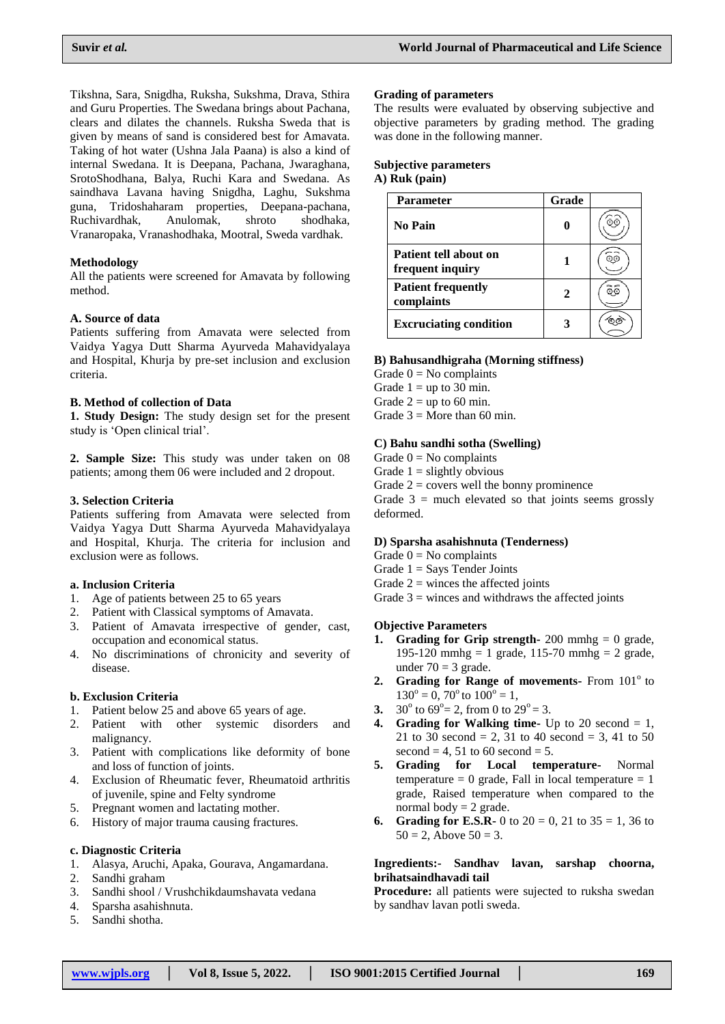Tikshna, Sara, Snigdha, Ruksha, Sukshma, Drava, Sthira and Guru Properties. The Swedana brings about Pachana, clears and dilates the channels. Ruksha Sweda that is given by means of sand is considered best for Amavata. Taking of hot water (Ushna Jala Paana) is also a kind of internal Swedana. It is Deepana, Pachana, Jwaraghana, SrotoShodhana, Balya, Ruchi Kara and Swedana. As saindhava Lavana having Snigdha, Laghu, Sukshma guna, Tridoshaharam properties, Deepana-pachana, Ruchivardhak, Anulomak, shroto shodhaka, Vranaropaka, Vranashodhaka, Mootral, Sweda vardhak.

### **Methodology**

All the patients were screened for Amavata by following method.

### **A. Source of data**

Patients suffering from Amavata were selected from Vaidya Yagya Dutt Sharma Ayurveda Mahavidyalaya and Hospital, Khurja by pre-set inclusion and exclusion criteria.

### **B. Method of collection of Data**

**1. Study Design:** The study design set for the present study is 'Open clinical trial'.

**2. Sample Size:** This study was under taken on 08 patients; among them 06 were included and 2 dropout.

### **3. Selection Criteria**

Patients suffering from Amavata were selected from Vaidya Yagya Dutt Sharma Ayurveda Mahavidyalaya and Hospital, Khurja. The criteria for inclusion and exclusion were as follows.

### **a. Inclusion Criteria**

- 1. Age of patients between 25 to 65 years
- 2. Patient with Classical symptoms of Amavata.
- 3. Patient of Amavata irrespective of gender, cast, occupation and economical status.
- 4. No discriminations of chronicity and severity of disease.

### **b. Exclusion Criteria**

- 1. Patient below 25 and above 65 years of age.
- 2. Patient with other systemic disorders and malignancy.
- 3. Patient with complications like deformity of bone and loss of function of joints.
- 4. Exclusion of Rheumatic fever, Rheumatoid arthritis of juvenile, spine and Felty syndrome
- 5. Pregnant women and lactating mother.
- 6. History of major trauma causing fractures.

#### **c. Diagnostic Criteria**

- 1. Alasya, Aruchi, Apaka, Gourava, Angamardana.
- 2. Sandhi graham
- 3. Sandhi shool / Vrushchikdaumshavata vedana
- 4. Sparsha asahishnuta.
- 5. Sandhi shotha.

#### **Grading of parameters**

The results were evaluated by observing subjective and objective parameters by grading method. The grading was done in the following manner.

### **Subjective parameters**

## **A) Ruk (pain)**

| <b>Parameter</b>                          | Grade |  |
|-------------------------------------------|-------|--|
| <b>No Pain</b>                            |       |  |
| Patient tell about on<br>frequent inquiry |       |  |
| <b>Patient frequently</b><br>complaints   |       |  |
| <b>Excruciating condition</b>             |       |  |

#### **B) Bahusandhigraha (Morning stiffness)**

- Grade  $0 = No$  complaints
- Grade  $1 = \text{up to } 30 \text{ min.}$
- Grade  $2 = \text{up to } 60 \text{ min.}$
- Grade  $3 =$  More than 60 min.

### **C) Bahu sandhi sotha (Swelling)**

- Grade  $0 = No$  complaints
- Grade  $1 =$  slightly obvious
- Grade  $2 = \text{covers well}$  the bonny prominence

Grade  $3 =$  much elevated so that joints seems grossly deformed.

### **D) Sparsha asahishnuta (Tenderness)**

- Grade  $0 = No$  complaints
- Grade  $1 =$  Says Tender Joints
- Grade  $2 =$  winces the affected joints
- Grade  $3$  = winces and withdraws the affected joints

### **Objective Parameters**

- **1. Grading for Grip strength-** 200 mmhg  $= 0$  grade, 195-120 mmhg = 1 grade, 115-70 mmhg = 2 grade, under  $70 = 3$  grade.
- **2. Grading for Range of movements-** From 101<sup>°</sup> to  $130^\circ = 0$ ,  $70^\circ$  to  $100^\circ = 1$ ,
- **3.** 30<sup>o</sup> to 69<sup>o</sup>= 2, from 0 to 29<sup>o</sup> = 3.
- **4. Grading for Walking time-** Up to 20 second  $= 1$ , 21 to 30 second = 2, 31 to 40 second = 3, 41 to 50 second  $= 4$ , 51 to 60 second  $= 5$ .
- **5. Grading for Local temperature-** Normal temperature  $= 0$  grade, Fall in local temperature  $= 1$ grade, Raised temperature when compared to the normal body  $= 2$  grade.
- **6. Grading for E.S.R-** 0 to  $20 = 0$ , 21 to  $35 = 1$ , 36 to  $50 = 2$ , Above  $50 = 3$ .

#### **Ingredients:- Sandhav lavan, sarshap choorna, brihatsaindhavadi tail**

**Procedure:** all patients were sujected to ruksha swedan by sandhav lavan potli sweda.